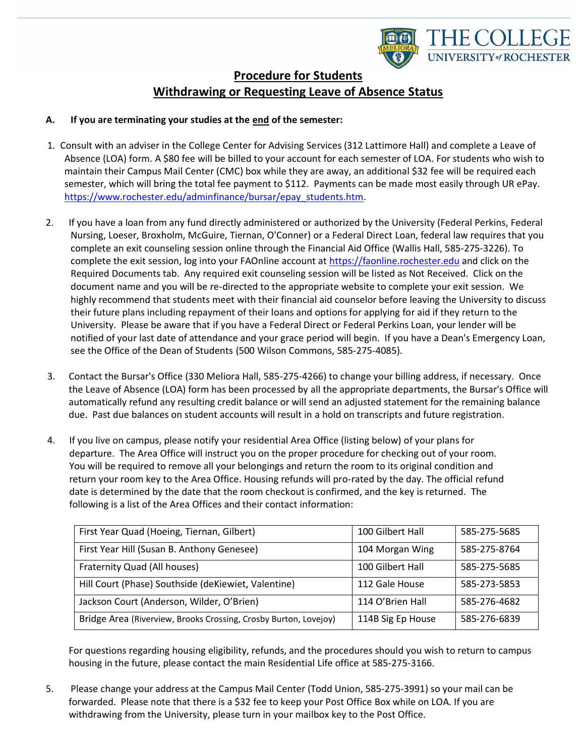

# **Procedure for Students Withdrawing or Requesting Leave of Absence Status**

#### **A. If you are terminating your studies at the end of the semester:**

- 1. Consult with an adviser in the College Center for Advising Services (312 Lattimore Hall) and complete a Leave of Absence (LOA) form. A \$80 fee will be billed to your account for each semester of LOA. For students who wish to maintain their Campus Mail Center (CMC) box while they are away, an additional \$32 fee will be required each semester, which will bring the total fee payment to \$112. Payments can be made most easily through UR ePay. [https://www.rochester.edu/adminfinance/bursar/epay\\_students.htm.](https://www.rochester.edu/adminfinance/bursar/epay_students.htm)
- 2. If you have a loan from any fund directly administered or authorized by the University (Federal Perkins, Federal Nursing, Loeser, Broxholm, McGuire, Tiernan, O'Conner) or a Federal Direct Loan, federal law requires that you complete an exit counseling session online through the Financial Aid Office (Wallis Hall, 585-275-3226). To complete the exit session, log into your FAOnline account a[t https://faonline.rochester.edu](https://faonline.rochester.edu/) and click on the Required Documents tab. Any required exit counseling session will be listed as Not Received. Click on the document name and you will be re-directed to the appropriate website to complete your exit session. We highly recommend that students meet with their financial aid counselor before leaving the University to discuss their future plans including repayment of their loans and options for applying for aid if they return to the University. Please be aware that if you have a Federal Direct or Federal Perkins Loan, your lender will be notified of your last date of attendance and your grace period will begin. If you have a Dean's Emergency Loan, see the Office of the Dean of Students (500 Wilson Commons, 585-275-4085).
- 3. Contact the Bursar's Office (330 Meliora Hall, 585-275-4266) to change your billing address, if necessary. Once the Leave of Absence (LOA) form has been processed by all the appropriate departments, the Bursar's Office will automatically refund any resulting credit balance or will send an adjusted statement for the remaining balance due. Past due balances on student accounts will result in a hold on transcripts and future registration.
- 4. If you live on campus, please notify your residential Area Office (listing below) of your plans for departure. The Area Office will instruct you on the proper procedure for checking out of your room. You will be required to remove all your belongings and return the room to its original condition and return your room key to the Area Office. Housing refunds will pro-rated by the day. The official refund date is determined by the date that the room checkout is confirmed, and the key is returned. The following is a list of the Area Offices and their contact information:

| First Year Quad (Hoeing, Tiernan, Gilbert)                       | 100 Gilbert Hall  | 585-275-5685 |
|------------------------------------------------------------------|-------------------|--------------|
| First Year Hill (Susan B. Anthony Genesee)                       | 104 Morgan Wing   | 585-275-8764 |
| Fraternity Quad (All houses)                                     | 100 Gilbert Hall  | 585-275-5685 |
| Hill Court (Phase) Southside (deKiewiet, Valentine)              | 112 Gale House    | 585-273-5853 |
| Jackson Court (Anderson, Wilder, O'Brien)                        | 114 O'Brien Hall  | 585-276-4682 |
| Bridge Area (Riverview, Brooks Crossing, Crosby Burton, Lovejoy) | 114B Sig Ep House | 585-276-6839 |

For questions regarding housing eligibility, refunds, and the procedures should you wish to return to campus housing in the future, please contact the main Residential Life office at 585-275-3166.

5. Please change your address at the Campus Mail Center (Todd Union, 585-275-3991) so your mail can be forwarded. Please note that there is a \$32 fee to keep your Post Office Box while on LOA. If you are withdrawing from the University, please turn in your mailbox key to the Post Office.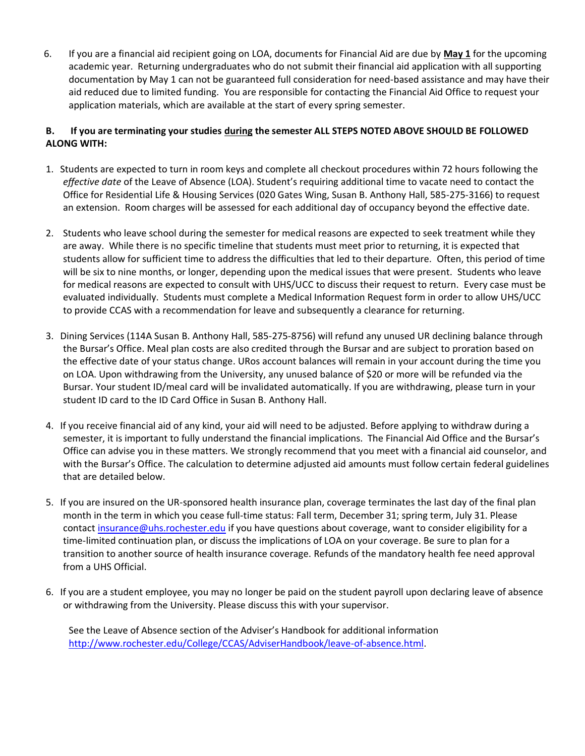6. If you are a financial aid recipient going on LOA, documents for Financial Aid are due by **May 1** for the upcoming academic year. Returning undergraduates who do not submit their financial aid application with all supporting documentation by May 1 can not be guaranteed full consideration for need-based assistance and may have their aid reduced due to limited funding. You are responsible for contacting the Financial Aid Office to request your application materials, which are available at the start of every spring semester.

#### **B. If you are terminating your studies during the semester ALL STEPS NOTED ABOVE SHOULD BE FOLLOWED ALONG WITH:**

- 1. Students are expected to turn in room keys and complete all checkout procedures within 72 hours following the *effective date* of the Leave of Absence (LOA). Student's requiring additional time to vacate need to contact the Office for Residential Life & Housing Services (020 Gates Wing, Susan B. Anthony Hall, 585-275-3166) to request an extension. Room charges will be assessed for each additional day of occupancy beyond the effective date.
- 2. Students who leave school during the semester for medical reasons are expected to seek treatment while they are away. While there is no specific timeline that students must meet prior to returning, it is expected that students allow for sufficient time to address the difficulties that led to their departure. Often, this period of time will be six to nine months, or longer, depending upon the medical issues that were present. Students who leave for medical reasons are expected to consult with UHS/UCC to discuss their request to return. Every case must be evaluated individually. Students must complete a Medical Information Request form in order to allow UHS/UCC to provide CCAS with a recommendation for leave and subsequently a clearance for returning.
- 3. Dining Services (114A Susan B. Anthony Hall, 585-275-8756) will refund any unused UR declining balance through the Bursar's Office. Meal plan costs are also credited through the Bursar and are subject to proration based on the effective date of your status change. URos account balances will remain in your account during the time you on LOA. Upon withdrawing from the University, any unused balance of \$20 or more will be refunded via the Bursar. Your student ID/meal card will be invalidated automatically. If you are withdrawing, please turn in your student ID card to the ID Card Office in Susan B. Anthony Hall.
- 4. If you receive financial aid of any kind, your aid will need to be adjusted. Before applying to withdraw during a semester, it is important to fully understand the financial implications. The Financial Aid Office and the Bursar's Office can advise you in these matters. We strongly recommend that you meet with a financial aid counselor, and with the Bursar's Office. The calculation to determine adjusted aid amounts must follow certain federal guidelines that are detailed below.
- 5. If you are insured on the UR-sponsored health insurance plan, coverage terminates the last day of the final plan month in the term in which you cease full-time status: Fall term, December 31; spring term, July 31. Please contact [insurance@uhs.rochester.edu](mailto:insurance@uhs.rochester.edu) if you have questions about coverage, want to consider eligibility for a time-limited continuation plan, or discuss the implications of LOA on your coverage. Be sure to plan for a transition to another source of health insurance coverage. Refunds of the mandatory health fee need approval from a UHS Official.
- 6. If you are a student employee, you may no longer be paid on the student payroll upon declaring leave of absence or withdrawing from the University. Please discuss this with your supervisor.

See the Leave of Absence section of the Adviser's Handbook for additional information [http://www.rochester.edu/College/CCAS/AdviserHandbook/leave-of-absence.html.](http://www.rochester.edu/College/CCAS/AdviserHandbook/leave-of-absence.html)